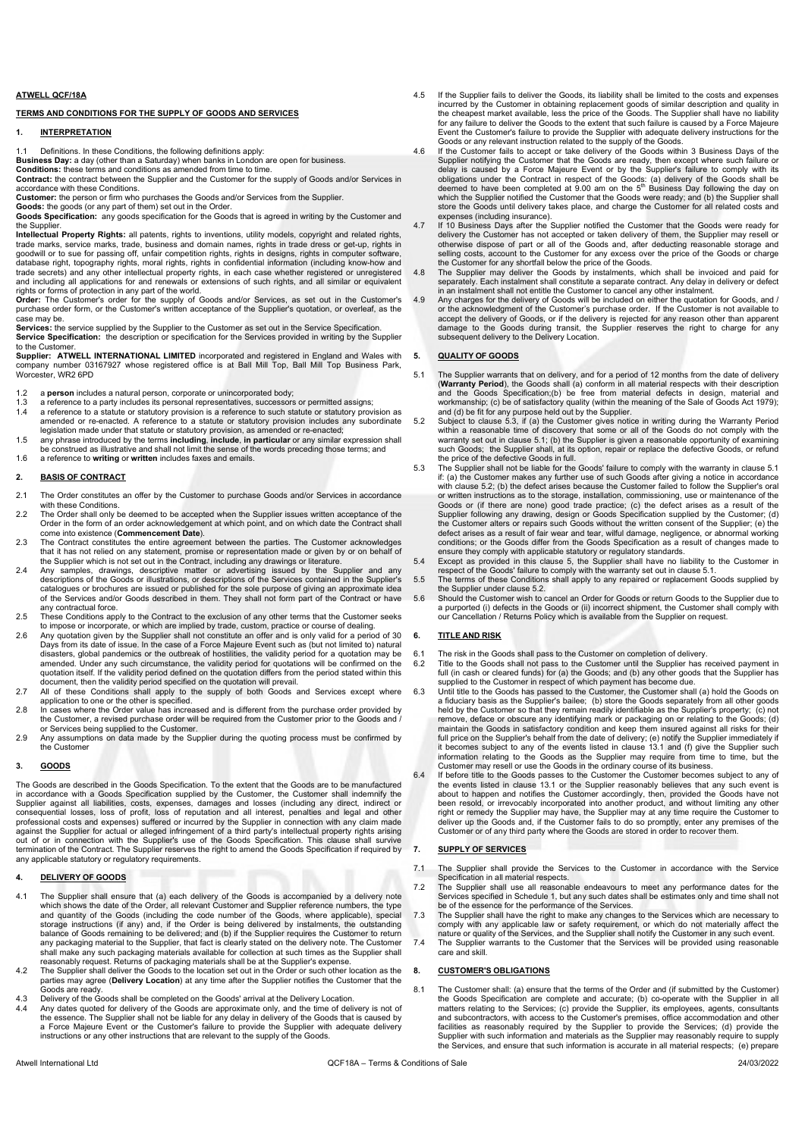#### ATWELL QCF/18A

#### TERMS AND CONDITIONS FOR THE SUPPLY OF GOODS AND SERVICES

# 1. INTERPRETATION

1.1 Definitions. In these Conditions, the following definitions apply:<br>**Business Day:** a day (other than a Saturday) when banks in London are open for business.

**Conditions:** these terms and conditions as amended from time to time.

Contract: the contract between the Supplier and the Customer for the supply of Goods and/or Services in accordance with these Conditions.

Customer: the person or firm who purchases the Goods and/or Services from the Supplier.

Goods: the goods (or any part of them) set out in the Order.

Goods Specification: any goods specification for the Goods that is agreed in writing by the Customer and Goods Specification: the Supplier

Intellectual Property Rights: all patents, rights to inventions, utility models, copyright and related rights, trade marks, service marks, trade, business and domain names, rights in trade dress or get-up, rights in goodwill or to sue for passing off, unfair competition rights, rights in designs, rights in computer software database right, topography rights, moral rights, rights in confidential information (including know-how and trade secrets) and any other intellectual property rights, in each case whether registered or unregistered and including all applications for and renewals or extensions of such rights, and all similar or equivalent

rights or forms of protection in any part of the world.<br>**Order:** The Customer's order for the supply of Goods and/or Services, as set out in the Customer's purchase order form, or the Customer's written acceptance of the Supplier's quotation, or overleaf, as the case may be.

Services: the service supplied by the Supplier to the Customer as set out in the Service Specification.<br>Service Specification: the description or specification for the Services provided in writing by the Supplier

to the Customer.<br>**Supplier: ATWELL INTERNATIONAL LIMITED** incorporated and registered in England and Wales with<br>company number 03167927 whose registered office is at Ball Mill Top, Ball Mill Top Business Park, Worcester, WR2 6PD

1.2 a **person** includes a natural person, corporate or unincorporated body;<br>1.3 a reference to a party includes its personal representatives, successors

- 1.3 a reference to a party includes its personal representatives, successors or permitted assigns;<br>1.4 a reference to a statute or statutory provision is a reference to such statute or statutory prov
- 1.4 a reference to a statute or statutory provision is a reference to such statute or statutory provision as amended or re-enacted. A reference to a statute or statutory provision includes any subordinate
- legislation made under that statute or statutory provision, as amended or re-enacted;<br>1.5 any phrase introduced by the terms **including, include, in particular** or any similar expression shall be construed as illustrative and shall not limit the sense of the words preceding those terms; and
- 1.6 a reference to **writing** or **written** includes faxes and emails.

#### 2. BASIS OF CONTRACT

- 2.1 The Order constitutes an offer by the Customer to purchase Goods and/or Services in accordance with these Conditions.
- 2.2 The Order shall only be deemed to be accepted when the Supplier issues written acceptance of the Order in the form of an order acknowledgement at which point, and on which date the Contract shall come into existence (Commencement Date).
- 2.3 The Contract constitutes the entire agreement between the parties. The Customer acknowledges that it has not relied on any statement, promise or representation made or given by or on behalf of the Supplier which is not set out in the Contract, including any drawings or literature.
- 2.4 Any samples, drawings, descriptive matter or advertising issued by the Supplier and any descriptions of the Goods or illustrations, or descriptions of the Services contained in the Supplier's catalogues or brochures are issued or published for the sole purpose of giving an approximate idea of the Services and/or Goods described in them. They shall not form part of the Contract or have any contractual force.
- 2.5 These Conditions apply to the Contract to the exclusion of any other terms that the Customer seeks to impose or incorporate, or which are implied by trade, custom, practice or course of dealing.
- 2.6 Any quotation given by the Supplier shall not constitute an offer and is only valid for a period of 30 Days from its date of issue. In the case of a Force Majeure Event such as (but not limited to) natural disasters, global pandemics or the outbreak of hostilities, the validity period for a quotation may be amended. Under any such circumstance, the validity period for quotations will be confirmed on the quotation itself. If the validity period defined on the quotation differs from the period stated within this document, then the validity period specified on the quotation will prevail.
- 2.7 All of these Conditions shall apply to the supply of both Goods and Services except where application to one or the other is specified.
- 2.8 In cases where the Order value has increased and is different from the purchase order provided by the Customer, a revised purchase order will be required from the Customer prior to the Goods and / or Services being supplied to the Customer.
- 2.9 Any assumptions on data made by the Supplier during the quoting process must be confirmed by the Customer

#### 3. GOODS

The Goods are described in the Goods Specification. To the extent that the Goods are to be manufactured in accordance with a Goods Specification supplied by the Customer, the Customer shall indemnify the Supplier against all liabilities, costs, expenses, damages and losses (including any direct, indirect or consequential losses, loss of profit, loss of reputation and all interest, penalties and legal and other professional costs and expenses) suffered or incurred by the Supplier in connection with any claim made against the Supplier for actual or alleged infringement of a third party's intellectual property rights arising out of or in connection with the Supplier's use of the Goods Specification. This clause shall survive termination of the Contract. The Supplier reserves the right to amend the Goods Specification if required by any applicable statutory or regulatory requirements.

#### 4. DELIVERY OF GOODS

- 4.1 The Supplier shall ensure that (a) each delivery of the Goods is accompanied by a delivery note which shows the date of the Order, all relevant Customer and Supplier reference numbers, the type and quantity of the Goods (including the code number of the Goods, where applicable), special<br>storage instructions (if any) and, if the Order is being delivered by instalments, the outstanding<br>balance of Goods remaining to shall make any such packaging materials available for collection at such times as the Supplier shall
- reasonably request. Returns of packaging materials shall be at the Supplier's expense. 4.2 The Supplier shall deliver the Goods to the location set out in the Order or such other location as the parties may agree (**Delivery Location**) at any time after the Supplier notifies the Customer that the<br>Goods are ready.
- 4.3 Delivery of the Goods shall be completed on the Goods' arrival at the Delivery Location<br>4.4 Any dates quoted for delivery of the Goods are approximate only, and the time of del
- Any dates quoted for delivery of the Goods are approximate only, and the time of delivery is not of the essence. The Supplier shall not be liable for any delay in delivery of the Goods that is caused by a Force Majeure Event or the Customer's failure to provide the Supplier with adequate delivery instructions or any other instructions that are relevant to the supply of the Goods.
- 4.5 If the Supplier fails to deliver the Goods, its liability shall be limited to the costs and expenses incurred by the Customer in obtaining replacement goods of similar description and quality in the cheapest market available, less the price of the Goods. The Supplier shall have no liability for any failure to deliver the Goods to the extent that such failure is caused by a Force Majeure Event the Customer's failure to provide the Supplier with adequate delivery instructions for the Goods or any relevant instruction related to the supply of the Goods.
- 4.6 If the Customer fails to accept or take delivery of the Goods within 3 Business Days of the Supplier notifying the Customer that the Goods are ready, then except where such failure or delay is caused by a Force Majeure Event or by the Supplier's failure to comply with its obligations under the Contract in respect of the Goods: (a) delivery of the Goods shall be<br>deemed to have been completed at 9.00 am on the 5<sup>th</sup> Business Day following the day on<br>which the Supplier notified the Customer th store the Goods until delivery takes place, and charge the Customer for all related costs and expenses (including insurance).
- 4.7 If 10 Business Days after the Supplier notified the Customer that the Goods were ready for delivery the Customer has not accepted or taken delivery of them, the Supplier may resell or<br>otherwise dispose of part or all of the Goods and, after deducting reasonable storage and<br>selling costs, account to the Customer the Customer for any shortfall below the price of the Goods.
- 4.8 The Supplier may deliver the Goods by instalments, which shall be invoiced and paid for separately. Each instalment shall constitute a separate contract. Any delay in delivery or defect in an instalment shall not entit
- or the acknowledgment of the Customer's purchase order. If the Customer is not available to accept the delivery of Goods, or if the delivery is rejected for any reason other than apparent damage to the Goods during transit, the Supplier reserves the right to charge for any subsequent delivery to the Delivery Location.

#### 5. QUALITY OF GOODS

- 5.1 The Supplier warrants that on delivery, and for a period of 12 months from the date of delivery<br>(**Warranty Period**), the Goods shall (a) conform in all material respects with their description and the Goods Specification;(b) be free from material defects in design, material and workmanship; (c) be of satisfactory quality (within the meaning of the Sale of Goods Act 1979);
- and (d) be fit for any purpose held out by the Supplier.<br>5.2 Subject to clause 5.3, if (a) the Customer gives notice in writing during the Warranty Period<br>within a reasonable time of discovery that some or all of the Goods such Goods; the Supplier shall, at its option, repair or replace the defective Goods, or refund the price of the defective Goods in full.
- 5.3 The Supplier shall not be liable for the Goods' failure to comply with the warranty in clause 5.1 if: (a) the Customer makes any further use of such Goods after giving a notice in accordance with clause 5.2; (b) the defect arises because the Customer failed to follow the Supplier's oral or written instructions as to the storage, installation, commissioning, use or maintenance of the Goods or (if there are none) good trade practice; (c) the defect arises as a result of the Supplier following any drawing, design or Goods Specification supplied by the Customer; (d) the Customer alters or repairs such Goods without the written consent of the Supplier; (e) the defect arises as a result of fair wear and tear, wilful damage, negligence, or abnormal working conditions; or the Goods differ from the Goods Specification as a result of changes made to ensure they comply with applicable statutory or regulatory standards. 5.4 Except as provided in this clause 5, the Supplier shall have no liability to the Customer in
- 
- respect of the Goods' failure to comply with the warranty set out in clause 5.1. 5.5 The terms of these Conditions shall apply to any repaired or replacement Goods supplied by the Supplier under clause 5.2.
- 5.6 Should the Customer wish to cancel an Order for Goods or return Goods to the Supplier due to a purported (i) defects in the Goods or (ii) incorrect shipment, the Customer shall comply with our Cancellation / Returns Policy which is available from the Supplier on request.

#### 6. TITLE AND RISK

- 
- 6.1 The risk in the Goods shall pass to the Customer on completion of delivery. 6.2 Title to the Goods shall not pass to the Customer until the Supplier has received payment in full (in cash or cleared funds) for (a) the Goods; and (b) any other goods that the Supplier has supplied to the Customer in respect of which payment has become due.
- 6.3 Until title to the Goods has passed to the Customer, the Customer shall (a) hold the Goods on a fiduciary basis as the Supplier's bailee; (b) store the Goods separately from all other goods held by the Customer so that they remain readily identifiable as the Supplier's property; (c) not remove, deface or obscure any identifying mark or packaging on or relating to the Goods; (d) maintain the Goods in satisfactory condition and keep them insured against all risks for their full price on the Supplier's behalf from the date of delivery; (e) notify the Supplier immediately if it becomes subject to any of the events listed in clause 13.1 and (f) give the Supplier such information relating to the Goods as the Supplier may require from time to time, but the Customer may resell or use the Goods in the ordinary course of its business.
- 6.4 If before title to the Goods passes to the Customer the Customer becomes subject to any of the events listed in clause 13.1 or the Supplier reasonably believes that any such event is about to happen and notifies the Cu right or remedy the Supplier may have, the Supplier may at any time require the Customer to deliver up the Goods and, if the Customer fails to do so promptly, enter any premises of the Customer or of any third party where the Goods are stored in order to recover them.

# 7. SUPPLY OF SERVICES

- 7.1 The Supplier shall provide the Services to the Customer in accordance with the Service Specification in all material respects. 7.2 The Supplier shall use all reasonable endeavours to meet any performance dates for the
- Services specified in Schedule 1, but any such dates shall be estimates only and time shall not be of the essence for the performance of the Services.
- 7.3 The Supplier shall have the right to make any changes to the Services which are necessary to comply with any applicable law or safety requirement, or which do not materially affect the<br>nature or quality of the Services
- 7.4 The Supplier warrants to the Customer that the Services will be provided using reasonable care and skill.

#### 8. CUSTOMER'S OBLIGATIONS

8.1 The Customer shall: (a) ensure that the terms of the Order and (if submitted by the Customer) the Goods Specification are complete and accurate; (b) co-operate with the Supplier in all matters relating to the Services; (c) provide the Supplier, its employees, agents, consultants and subcontractors, with access to the Customer's premises, office accommodation and other<br>facilities as reasonably required by the Supplier to provide the Services; (d) provide the<br>Supplier with such information and mater the Services, and ensure that such information is accurate in all material respects; (e) prepare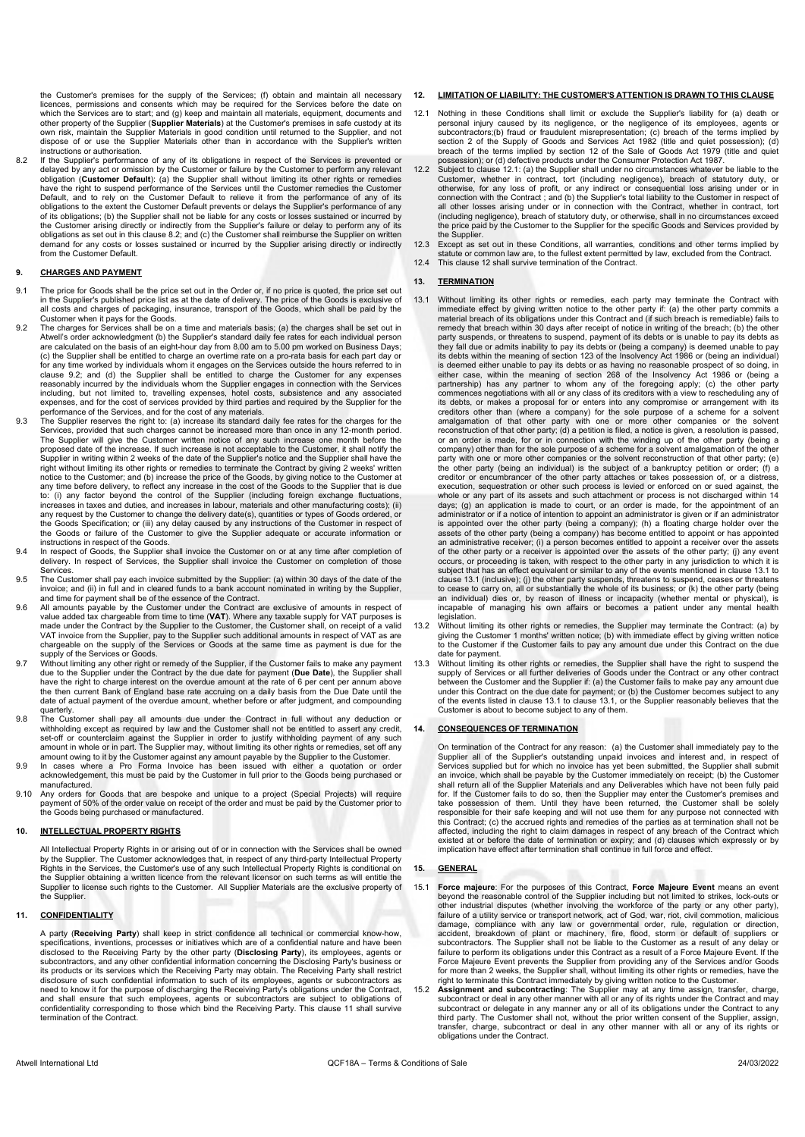the Customer's premises for the supply of the Services; (f) obtain and maintain all necessary licences, permissions and consents which may be required for the Services before the date on which the Services are to start; and (g) keep and maintain all materials, equipment, documents and other property of the Supplier (**Supplier Materials**) at the Customer's premises in safe custody at its<br>own risk, maintain the Supplier Materials in good condition until returned to the Supplier, and not dispose of or use the Supplier Materials other than in accordance with the Supplier's written

instructions or authorisation. 8.2 If the Supplier's performance of any of its obligations in respect of the Services is prevented or delayed by any act or omission by the Customer or failure by the Customer to perform any relevant<br>obligation (**Customer Default**): (a) the Supplier shall without limiting its other rights or remedies have the right to suspend performance of the Services until the Customer remedies the Customer Default, and to rely on the Customer Default to relieve it from the performance of any of its obligations to the extent the Customer Default prevents or delays the Supplier's performance of any of its obligations; (b) the Supplier shall not be liable for any costs or losses sustained or incurred by the Customer arising directly or indirectly from the Supplier's failure or delay to perform any of its obligations as set out in this clause 8.2; and (c) the Customer shall reimburse the Supplier on written demand for any costs or losses sustained or incurred by the Supplier arising directly or indirectly from the Customer Default.

### 9. CHARGES AND PAYMENT

- 9.1 The price for Goods shall be the price set out in the Order or, if no price is quoted, the price set out<br>in the Supplier's published price list as at the date of delivery. The price of the Goods is exclusive of<br>all cos Customer when it pays for the Goods.
- 9.2 The charges for Services shall be on a time and materials basis; (a) the charges shall be set out in Atwell's order acknowledgment (b) the Supplier's standard daily fee rates for each individual person are calculated on the basis of an eight-hour day from 8.00 am to 5.00 pm worked on Business Days; (c) the Supplier shall be entitled to charge an overtime rate on a pro-rata basis for each part day or for any time worked by individuals whom it engages on the Services outside the hours referred to in<br>clause 9.2; and (d) the Supplier shall be entitled to charge the Customer for any expenses<br>reasonably incurred including, but not limited to, travelling expenses, hotel costs, subsistence and any associated expenses, and for the cost of services provided by third parties and required by the Supplier for the performance of the Services, and for the cost of any materials. 9.3 The Supplier reserves the right to: (a) increase its standard daily fee rates for the charges for the
- Services, provided that such charges cannot be increased more than once in any 12-month period. The Supplier will give the Customer written notice of any such increase one month before the proposed date of the increase. If such increase is not acceptable to the Customer, it shall notify the Supplier in writing within 2 weeks of the date of the Supplier's notice and the Supplier shall have the right without limiting its other rights or remedies to terminate the Contract by giving 2 weeks' written notice to the Customer; and (b) increase the price of the Goods, by giving notice to the Customer at any time before delivery, to reflect any increase in the cost of the Goods to the Supplier that is due to: (i) any factor beyond the control of the Supplier (including foreign exchange fluctuations increases in taxes and duties, and increases in labour, materials and other manufacturing costs); (ii) any request by the Customer to change the delivery date(s), quantities or types of Goods ordered, or<br>the Goods Specification; or (iii) any delay caused by any instructions of the Customer in respect of<br>the Goods or failure instructions in respect of the Goods.
- 9.4 In respect of Goods, the Supplier shall invoice the Customer on or at any time after completion of delivery. In respect of Services, the Supplier shall invoice the Customer on completion of those **Services**
- 9.5 The Customer shall pay each invoice submitted by the Supplier: (a) within 30 days of the date of the invoice; and (ii) in full and in cleared funds to a bank account nominated in writing by the Supplier, and time for payment shall be of the essence of the Contract.
- 9.6 All amounts payable by the Customer under the Contract are exclusive of amounts in respect of value added tax chargeable from time to time (**VAT**). Where any taxable supply for VAT purposes is<br>made under the Contract by the Supplier to the Customer, the Customer shall, on receipt of a valid VAT invoice from the Supplier, pay to the Supplier such additional amounts in respect of VAT as are chargeable on the supply of the Services or Goods at the same time as payment is due for the
- supply of the Services or Goods. 9.7 Without limiting any other right or remedy of the Supplier, if the Customer fails to make any payment due to the Supplier under the Contract by the due date for payment (**Due Date**), the Supplier shall<br>have the right to charge interest on the overdue amount at the rate of 6 per cent per annum above the then current Bank of England base rate accruing on a daily basis from the Due Date until the date of actual payment of the overdue amount, whether before or after judgment, and compounding
- quarterly.<br>9.8 The Customer shall pay all amounts due under the Contract in full without any deduction or<br>withholding except as required by law and the Customer shall not be entitled to assert any credit, set-off or counterclaim against the Supplier in order to justify withholding payment of any such amount in whole or in part. The Supplier may, without limiting its other rights or remedies, set off any
- amount owing to it by the Customer against any amount payable by the Supplier to the Customer. 9.9 In cases where a Pro Forma Invoice has been issued with either a quotation or order acknowledgement, this must be paid by the Customer in full prior to the Goods being purchased or manufactured.
- 9.10 Any orders for Goods that are bespoke and unique to a project (Special Projects) will require payment of 50% of the order value on receipt of the order and must be paid by the Customer prior to the Goods being purchased or manufactured.

#### 10. INTELLECTUAL PROPERTY RIGHTS

 All Intellectual Property Rights in or arising out of or in connection with the Services shall be owned by the Supplier. The Customer acknowledges that, in respect of any third-party Intellectual Property<br>Rights in the Services, the Customer's use of any such Intellectual Property Rights is conditional on<br>the Supplier obtain Supplier to license such rights to the Customer. All Supplier Materials are the exclusive property of the Supplier.

#### 11. CONFIDENTIALITY

A party (Receiving Party) shall keep in strict confidence all technical or commercial know-how, specifications, inventions, processes or initiatives which are of a confidential nature and have been specifications, processes or initiatives which are of a confidential nature and have been disclosed to the Receiving Party by the other party (Disclosing Party), its employees, agents or subcontractors, and any other confidential information concerning the Disclosing Party's business or its products or its services which the Receiving Party may obtain. The Receiving Party shall restrict disclosure of such confidential information to such of its employees, agents or subcontractors as need to know it for the purpose of discharging the Receiving Party's obligations under the Contract, and shall ensure that such employees, agents or subcontractors are subject to obligations of confidentiality corresponding to those which bind the Receiving Party. This clause 11 shall survive termination of the Contract.

### 12. LIMITATION OF LIABILITY: THE CUSTOMER'S ATTENTION IS DRAWN TO THIS CLAUSE

- 12.1 Nothing in these Conditions shall limit or exclude the Supplier's liability for (a) death or personal injury caused by its negligence, or the negligence of its employees, agents or<br>subcontractors;(b) fraud or fraudulent misrepresentation; (c) breach of the terms implied by<br>section 2 of the Supply of Goods and Serv breach of the terms implied by section 12 of the Sale of Goods Act 1979 (title and quiet possession); or (d) defective products under the Consumer Protection Act 1987.
- 12.2 Subject to clause 12.1: (a) the Supplier shall under no circumstances whatever be liable to the Customer, whether in contract, tort (including negligence), breach of statutory duty, or<br>otherwise, for any loss of profit, or any indirect or consequential loss arising under or in<br>connection with the Contract ; and (b) t all other losses arising under or in connection with the Contract, whether in contract, tort (including negligence), breach of statutory duty, or otherwise, shall in no circumstances exceed the price paid by the Customer to the Supplier for the specific Goods and Services provided by the Supplier.
- 12.3 Except as set out in these Conditions, all warranties, conditions and other terms implied by statute or common law are, to the fullest extent permitted by law, excluded from the Contract. 12.4 This clause 12 shall survive termination of the Contract.

#### 13. TERMINATION

- 13.1 Without limiting its other rights or remedies, each party may terminate the Contract with immediate effect by giving written notice to the other party if: (a) the other party commits a material breach of its obligations under this Contract and (if such breach is remediable) fails to remedy that breach within 30 days after receipt of notice in writing of the breach; (b) the other party suspends, or threatens to suspend, payment of its debts or is unable to pay its debts as they fall due or admits inability to pay its debts or (being a company) is deemed unable to pay its debts within the meaning of section 123 of the Insolvency Act 1986 or (being an individual) is deemed either unable to pay its debts or as having no reasonable prospect of so doing, in<br>either case, within the meaning of section 268 of the Insolvency Act 1986 or (being a<br>partnership) has any partner to whom any of creditors other than (where a company) for the sole purpose of a scheme for a solvent amalgamation of that other party with one or more other companies or the solvent reconstruction of that other party; (d) a petition is filed, a notice is given, a resolution is passed, or an order is made, for or in connection with the winding up of the other party (being a company) other than for the sole purpose of a scheme for a solvent amalgamation of the other party with one or more other companies or the solvent reconstruction of that other party; (e) the other party (being an individual) is the subject of a bankruptcy petition or order; (f) a creditor or encumbrancer of the other party attaches or takes possession of, or a distress, execution, sequestration or other such process is levied or enforced on or sued against, the whole or any part of its assets and such attachment or process is not discharged within 14 days; (g) an application is made to court, or an order is made, for the appointment of an administrator or if a notice of intention to appoint an administrator is given or if an administrator is appointed over the other party (being a company); (h) a floating charge holder over the assets of the other party (being a company) has become entitled to appoint or has appointed an administrative receiver; (i) a person becomes entitled to appoint a receiver over the assets of the other party or a receiver is appointed over the assets of the other party; (j) any event occurs, or proceeding is taken, with respect to the other party in any jurisdiction to which it is subject that has an effect equivalent or similar to any of the events mentioned in clause 13.1 to clause 13.1 (inclusive); (j) the other party suspends, threatens to suspend, ceases or threatens to cease to carry on, all or substantially the whole of its business; or (k) the other party (being<br>an individual) dies or, by reason of illness or incapacity (whether mental or physical), is<br>incapable of managing his legislation. 13.2 Without limiting its other rights or remedies, the Supplier may terminate the Contract: (a) by
- giving the Customer 1 months' written notice; (b) with immediate effect by giving written notice to the Customer if the Customer fails to pay any amount due under this Contract on the due date for payment. 13.3 Without limiting its other rights or remedies, the Supplier shall have the right to suspend the
- supply of Services or all further deliveries of Goods under the Contract or any other contract between the Customer and the Supplier if: (a) the Customer fails to make pay any amount due under this Contract on the due date for payment; or (b) the Customer becomes subject to any of the events listed in clause 13.1 to clause 13.1, or the Supplier reasonably believes that the Customer is about to become subject to any of them.

# 14. CONSEQUENCES OF TERMINATION

On termination of the Contract for any reason: (a) the Customer shall immediately pay to the Supplier all of the Supplier's outstanding unpaid invoices and interest and, in respect of Services supplied but for which no invoice has yet been submitted, the Supplier shall submit an invoice, which shall be payable by the Customer immediately on receipt; (b) the Customer shall return all of the Supplier Materials and any Deliverables which have not been fully paid for. If the Customer fails to do so, then the Supplier may enter the Customer's premises and take possession of them. Until they have been returned, the Customer shall be solely responsible for their safe keeping and will not use them for any purpose not connected with this Contract; (c) the accrued rights and remedies of the parties as at termination shall not be affected, including the right to claim damages in respect of any breach of the Contract which existed at or before the date of termination or expiry; and (d) clauses which expressly or by implication have effect after termination shall continue in full force and effect.

#### 15. GENERAL

- 15.1 Force majeure: For the purposes of this Contract, Force Majeure Event means an event beyond the reasonable control of the Supplier including but not limited to strikes, lock-outs or other industrial disputes (whether involving the workforce of the party or any other party), failure of a utility service or transport network, act of God, war, riot, civil commotion, malicious damage, compliance with any law or governmental order, rule, regulation or direction,<br>accident, breakdown of plant or machinery, fire, flood, storm or default of suppliers or<br>subcontractors. The Supplier shall not be liabl failure to perform its obligations under this Contract as a result of a Force Majeure Event. If the Force Majeure Event prevents the Supplier from providing any of the Services and/or Goods for more than 2 weeks, the Supplier shall, without limiting its other rights or remedies, have the right to terminate this Contract immediately by giving written notice to the Customer.<br>15.2 **Assignment and subcontracting**: The Supplier may at any time assign, transfer, charge,
- subcontract or deal in any other manner with all or any of its rights under the Contract and may subcontract or delegate in any manner any or all of its obligations under the Contract to any third party. The Customer shall not, without the prior written consent of the Supplier, assign, transfer, charge, subcontract or deal in any other manner with all or any of its rights or obligations under the Contract.